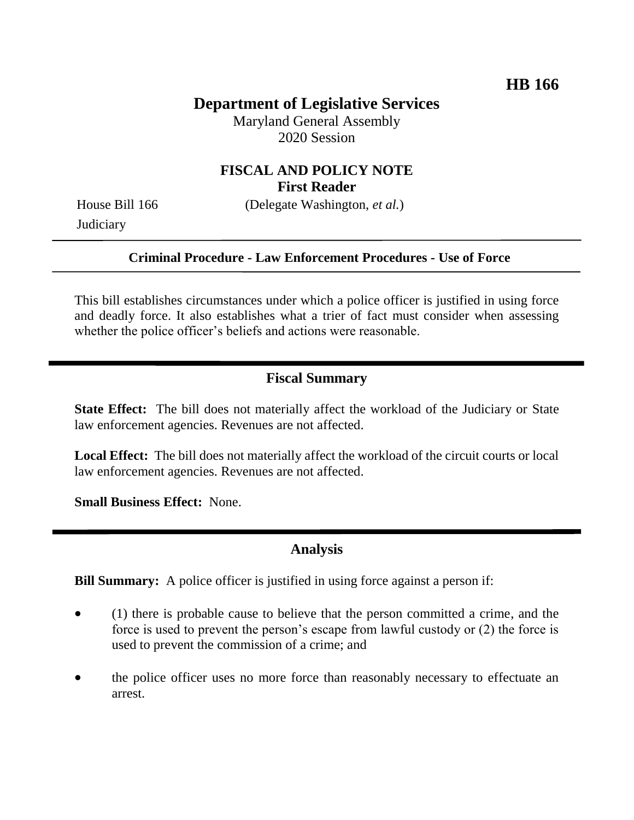# **Department of Legislative Services**

Maryland General Assembly 2020 Session

# **FISCAL AND POLICY NOTE First Reader**

**Judiciary** 

House Bill 166 (Delegate Washington, *et al.*)

#### **Criminal Procedure - Law Enforcement Procedures - Use of Force**

This bill establishes circumstances under which a police officer is justified in using force and deadly force. It also establishes what a trier of fact must consider when assessing whether the police officer's beliefs and actions were reasonable.

# **Fiscal Summary**

**State Effect:** The bill does not materially affect the workload of the Judiciary or State law enforcement agencies. Revenues are not affected.

**Local Effect:** The bill does not materially affect the workload of the circuit courts or local law enforcement agencies. Revenues are not affected.

**Small Business Effect:** None.

### **Analysis**

**Bill Summary:** A police officer is justified in using force against a person if:

- (1) there is probable cause to believe that the person committed a crime, and the force is used to prevent the person's escape from lawful custody or (2) the force is used to prevent the commission of a crime; and
- the police officer uses no more force than reasonably necessary to effectuate an arrest.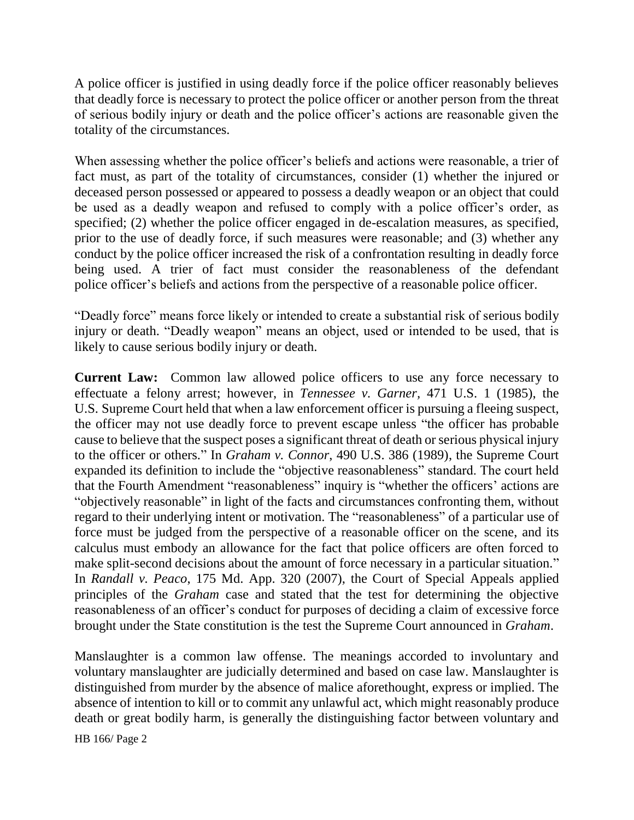A police officer is justified in using deadly force if the police officer reasonably believes that deadly force is necessary to protect the police officer or another person from the threat of serious bodily injury or death and the police officer's actions are reasonable given the totality of the circumstances.

When assessing whether the police officer's beliefs and actions were reasonable, a trier of fact must, as part of the totality of circumstances, consider (1) whether the injured or deceased person possessed or appeared to possess a deadly weapon or an object that could be used as a deadly weapon and refused to comply with a police officer's order, as specified; (2) whether the police officer engaged in de-escalation measures, as specified, prior to the use of deadly force, if such measures were reasonable; and (3) whether any conduct by the police officer increased the risk of a confrontation resulting in deadly force being used. A trier of fact must consider the reasonableness of the defendant police officer's beliefs and actions from the perspective of a reasonable police officer.

"Deadly force" means force likely or intended to create a substantial risk of serious bodily injury or death. "Deadly weapon" means an object, used or intended to be used, that is likely to cause serious bodily injury or death.

**Current Law:** Common law allowed police officers to use any force necessary to effectuate a felony arrest; however, in *Tennessee v. Garner,* 471 U.S. 1 (1985), the U.S. Supreme Court held that when a law enforcement officer is pursuing a fleeing suspect, the officer may not use deadly force to prevent escape unless "the officer has probable cause to believe that the suspect poses a significant threat of death or serious physical injury to the officer or others." In *Graham v. Connor*, 490 U.S. 386 (1989), the Supreme Court expanded its definition to include the "objective reasonableness" standard. The court held that the Fourth Amendment "reasonableness" inquiry is "whether the officers' actions are "objectively reasonable" in light of the facts and circumstances confronting them, without regard to their underlying intent or motivation. The "reasonableness" of a particular use of force must be judged from the perspective of a reasonable officer on the scene, and its calculus must embody an allowance for the fact that police officers are often forced to make split-second decisions about the amount of force necessary in a particular situation." In *Randall v. Peaco*, 175 Md. App. 320 (2007), the Court of Special Appeals applied principles of the *Graham* case and stated that the test for determining the objective reasonableness of an officer's conduct for purposes of deciding a claim of excessive force brought under the State constitution is the test the Supreme Court announced in *Graham*.

Manslaughter is a common law offense. The meanings accorded to involuntary and voluntary manslaughter are judicially determined and based on case law. Manslaughter is distinguished from murder by the absence of malice aforethought, express or implied. The absence of intention to kill or to commit any unlawful act, which might reasonably produce death or great bodily harm, is generally the distinguishing factor between voluntary and